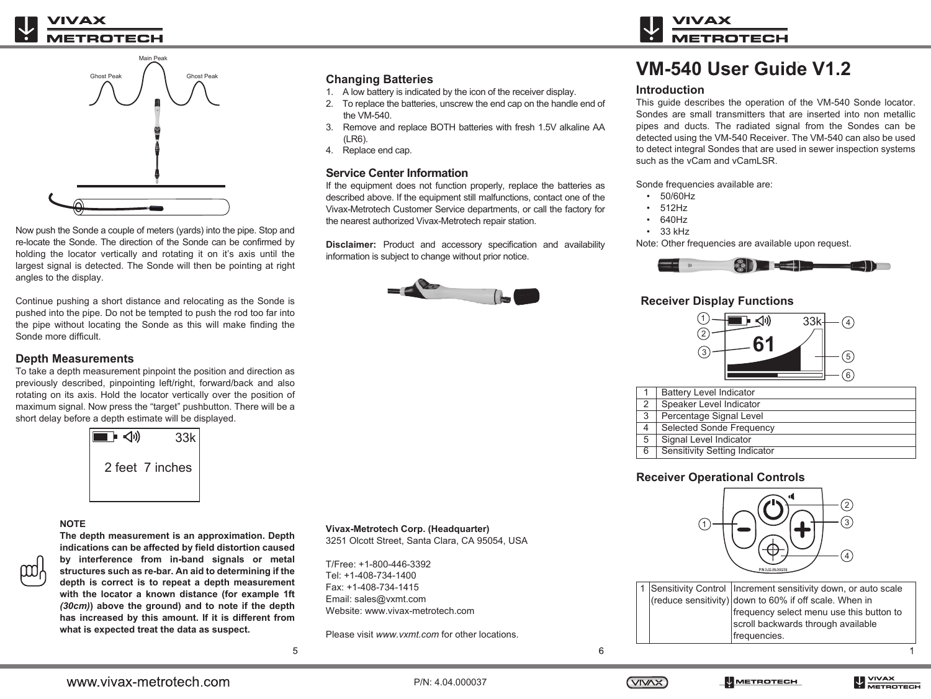

Now push the Sonde a couple of meters (yards) into the pipe. Stop and re-locate the Sonde. The direction of the Sonde can be confirmed by holding the locator vertically and rotating it on it's axis until the largest signal is detected. The Sonde will then be pointing at right angles to the display.

Continue pushing a short distance and relocating as the Sonde is pushed into the pipe. Do not be tempted to push the rod too far into the pipe without locating the Sonde as this will make finding the Sonde more difficult.

### **Depth Measurements**

To take a depth measurement pinpoint the position and direction as previously described, pinpointing left/right, forward/back and also rotating on its axis. Hold the locator vertically over the position of maximum signal. Now press the "target" pushbutton. There will be a short delay before a depth estimate will be displayed.



### **NOTE**

**The depth measurement is an approximation. Depth indications can be affected by field distortion caused by interference from in-band signals or metal structures such as re-bar. An aid to determining if the depth is correct is to repeat a depth measurement with the locator a known distance (for example 1ft**  *(30cm)***) above the ground) and to note if the depth has increased by this amount. If it is different from what is expected treat the data as suspect.**

# **Changing Batteries**<br>1. A low battery is indicate

- 1. A low battery is indicated by the icon of the receiver display.
- 2. To replace the batteries, unscrew the end cap on the handle end of the VM-540.
- 3. Remove and replace BOTH batteries with fresh 1.5V alkaline AA (LR6).
- 4. Replace end cap.

## **Service Center Information**

If the equipment does not function properly, replace the batteries as described above. If the equipment still malfunctions, contact one of the Vivax-Metrotech Customer Service departments, or call the factory for the nearest authorized Vivax-Metrotech repair station.

**Disclaimer:** Product and accessory specification and availability information is subject to change without prior notice.



# **VM-540 User Guide V1.2** ™

### **Introduction**

This guide describes the operation of the VM-540 Sonde locator. Sondes are small transmitters that are inserted into non metallic pipes and ducts. The radiated signal from the Sondes can be detected using the VM-540 Receiver. The VM-540 can also be used to detect integral Sondes that are used in sewer inspection systems such as the vCam and vCamLSR.

Sonde frequencies available are:

- 50/60Hz
- 512Hz
- 640Hz
- 33 kHz

Note: Other frequencies are available upon request.



# **Receiver Display Functions**



|   | <b>Battery Level Indicator</b> |
|---|--------------------------------|
| 2 | Speaker Level Indicator        |
| 3 | Percentage Signal Level        |
| 4 | Selected Sonde Frequency       |
| 5 | Signal Level Indicator         |
| 6 | Sensitivity Setting Indicator  |

# **Receiver Operational Controls**



|  | 1 Sensitivity Control   Increment sensitivity down, or auto scale<br>$ $ (reduce sensitivity) down to 60% if off scale. When in<br>frequency select menu use this button to<br>scroll backwards through available<br>frequencies. |
|--|-----------------------------------------------------------------------------------------------------------------------------------------------------------------------------------------------------------------------------------|
|  |                                                                                                                                                                                                                                   |

5

Please visit *www.vxmt.com* for other locations.

**Vivax-Metrotech Corp. (Headquarter)** 3251 Olcott Street, Santa Clara, CA 95054, USA

Website: www.vivax-metrotech.com

T/Free: +1-800-446-3392 Tel: +1-408-734-1400 Fax: +1-408-734-1415 Email: sales@vxmt.com



6